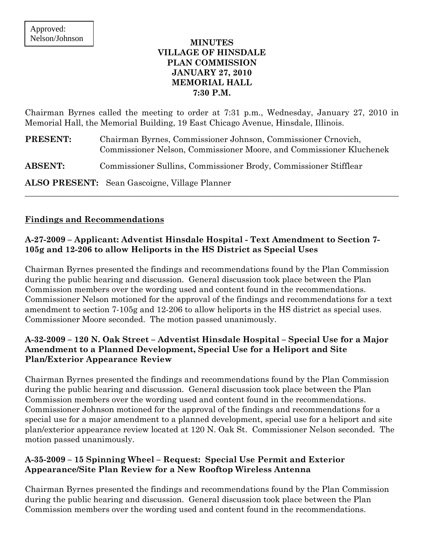### **MINUTES VILLAGE OF HINSDALE PLAN COMMISSION JANUARY 27, 2010 MEMORIAL HALL 7:30 P.M.**

Chairman Byrnes called the meeting to order at 7:31 p.m., Wednesday, January 27, 2010 in Memorial Hall, the Memorial Building, 19 East Chicago Avenue, Hinsdale, Illinois.

| <b>PRESENT:</b> | Chairman Byrnes, Commissioner Johnson, Commissioner Crnovich,<br>Commissioner Nelson, Commissioner Moore, and Commissioner Kluchenek |
|-----------------|--------------------------------------------------------------------------------------------------------------------------------------|
| <b>ABSENT:</b>  | Commissioner Sullins, Commissioner Brody, Commissioner Stifflear                                                                     |
|                 | <b>ALSO PRESENT:</b> Sean Gascoigne, Village Planner                                                                                 |

### **Findings and Recommendations**

### **A-27-2009 – Applicant: Adventist Hinsdale Hospital - Text Amendment to Section 7- 105g and 12-206 to allow Heliports in the HS District as Special Uses**

Chairman Byrnes presented the findings and recommendations found by the Plan Commission during the public hearing and discussion. General discussion took place between the Plan Commission members over the wording used and content found in the recommendations. Commissioner Nelson motioned for the approval of the findings and recommendations for a text amendment to section 7-105g and 12-206 to allow heliports in the HS district as special uses. Commissioner Moore seconded. The motion passed unanimously.

## **A-32-2009 – 120 N. Oak Street – Adventist Hinsdale Hospital – Special Use for a Major Amendment to a Planned Development, Special Use for a Heliport and Site Plan/Exterior Appearance Review**

Chairman Byrnes presented the findings and recommendations found by the Plan Commission during the public hearing and discussion. General discussion took place between the Plan Commission members over the wording used and content found in the recommendations. Commissioner Johnson motioned for the approval of the findings and recommendations for a special use for a major amendment to a planned development, special use for a heliport and site plan/exterior appearance review located at 120 N. Oak St. Commissioner Nelson seconded. The motion passed unanimously.

## **A-35-2009 – 15 Spinning Wheel – Request: Special Use Permit and Exterior Appearance/Site Plan Review for a New Rooftop Wireless Antenna**

Chairman Byrnes presented the findings and recommendations found by the Plan Commission during the public hearing and discussion. General discussion took place between the Plan Commission members over the wording used and content found in the recommendations.